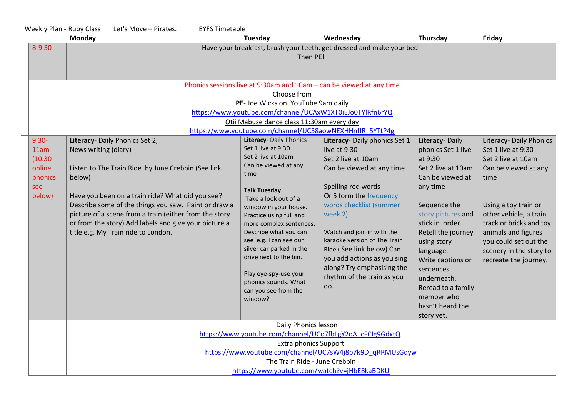| Weekly Plan - Ruby Class                                          | Let's Move - Pirates.                                                                                                                                                                                                                                                                                                                                                                        | <b>EYFS Timetable</b> |                                                                                                                                                                                                                                                                                                                                                                                                                                |                                                                                                                                                                                                                                                                                                                                                                                      |                                                                                                                                                                                                                                                                                                                                         |                                                                                                                                                                                                                                                                                      |  |  |
|-------------------------------------------------------------------|----------------------------------------------------------------------------------------------------------------------------------------------------------------------------------------------------------------------------------------------------------------------------------------------------------------------------------------------------------------------------------------------|-----------------------|--------------------------------------------------------------------------------------------------------------------------------------------------------------------------------------------------------------------------------------------------------------------------------------------------------------------------------------------------------------------------------------------------------------------------------|--------------------------------------------------------------------------------------------------------------------------------------------------------------------------------------------------------------------------------------------------------------------------------------------------------------------------------------------------------------------------------------|-----------------------------------------------------------------------------------------------------------------------------------------------------------------------------------------------------------------------------------------------------------------------------------------------------------------------------------------|--------------------------------------------------------------------------------------------------------------------------------------------------------------------------------------------------------------------------------------------------------------------------------------|--|--|
|                                                                   | <b>Monday</b>                                                                                                                                                                                                                                                                                                                                                                                |                       | Tuesday                                                                                                                                                                                                                                                                                                                                                                                                                        | Wednesday                                                                                                                                                                                                                                                                                                                                                                            | Thursday                                                                                                                                                                                                                                                                                                                                | Friday                                                                                                                                                                                                                                                                               |  |  |
| 8-9.30                                                            |                                                                                                                                                                                                                                                                                                                                                                                              |                       | Then PE!                                                                                                                                                                                                                                                                                                                                                                                                                       | Have your breakfast, brush your teeth, get dressed and make your bed.                                                                                                                                                                                                                                                                                                                |                                                                                                                                                                                                                                                                                                                                         |                                                                                                                                                                                                                                                                                      |  |  |
|                                                                   | Phonics sessions live at 9:30am and 10am - can be viewed at any time<br>Choose from<br>PE- Joe Wicks on YouTube 9am daily<br>https://www.youtube.com/channel/UCAxW1XT0iEJo0TYlRfn6rYQ<br>Otii Mabuse dance class 11:30am every day<br>https://www.youtube.com/channel/UC58aowNEXHHnflR 5YTtP4g                                                                                               |                       |                                                                                                                                                                                                                                                                                                                                                                                                                                |                                                                                                                                                                                                                                                                                                                                                                                      |                                                                                                                                                                                                                                                                                                                                         |                                                                                                                                                                                                                                                                                      |  |  |
| $9.30 -$<br>11am<br>(10.30)<br>online<br>phonics<br>see<br>below) | Literacy- Daily Phonics Set 2,<br>News writing (diary)<br>Listen to The Train Ride by June Crebbin (See link<br>below)<br>Have you been on a train ride? What did you see?<br>Describe some of the things you saw. Paint or draw a<br>picture of a scene from a train (either from the story<br>or from the story) Add labels and give your picture a<br>title e.g. My Train ride to London. |                       | Literacy- Daily Phonics<br>Set 1 live at 9:30<br>Set 2 live at 10am<br>Can be viewed at any<br>time<br><b>Talk Tuesday</b><br>Take a look out of a<br>window in your house.<br>Practice using full and<br>more complex sentences.<br>Describe what you can<br>see e.g. I can see our<br>silver car parked in the<br>drive next to the bin.<br>Play eye-spy-use your<br>phonics sounds. What<br>can you see from the<br>window? | Literacy- Daily phonics Set 1<br>live at 9:30<br>Set 2 live at 10am<br>Can be viewed at any time<br>Spelling red words<br>Or 5 form the frequency<br>words checklist (summer<br>week 2)<br>Watch and join in with the<br>karaoke version of The Train<br>Ride (See link below) Can<br>you add actions as you sing<br>along? Try emphasising the<br>rhythm of the train as you<br>do. | Literacy-Daily<br>phonics Set 1 live<br>at 9:30<br>Set 2 live at 10am<br>Can be viewed at<br>any time<br>Sequence the<br>story pictures and<br>stick in order.<br>Retell the journey<br>using story<br>language.<br>Write captions or<br>sentences<br>underneath.<br>Reread to a family<br>member who<br>hasn't heard the<br>story yet. | Literacy- Daily Phonics<br>Set 1 live at 9:30<br>Set 2 live at 10am<br>Can be viewed at any<br>time<br>Using a toy train or<br>other vehicle, a train<br>track or bricks and toy<br>animals and figures<br>you could set out the<br>scenery in the story to<br>recreate the journey. |  |  |
|                                                                   | Daily Phonics lesson<br>https://www.youtube.com/channel/UCo7fbLgY2oA cFCIg9GdxtQ<br><b>Extra phonics Support</b><br>https://www.youtube.com/channel/UC7sW4j8p7k9D qRRMUsGqyw<br>The Train Ride - June Crebbin<br>https://www.youtube.com/watch?v=jHbE8kaBDKU                                                                                                                                 |                       |                                                                                                                                                                                                                                                                                                                                                                                                                                |                                                                                                                                                                                                                                                                                                                                                                                      |                                                                                                                                                                                                                                                                                                                                         |                                                                                                                                                                                                                                                                                      |  |  |